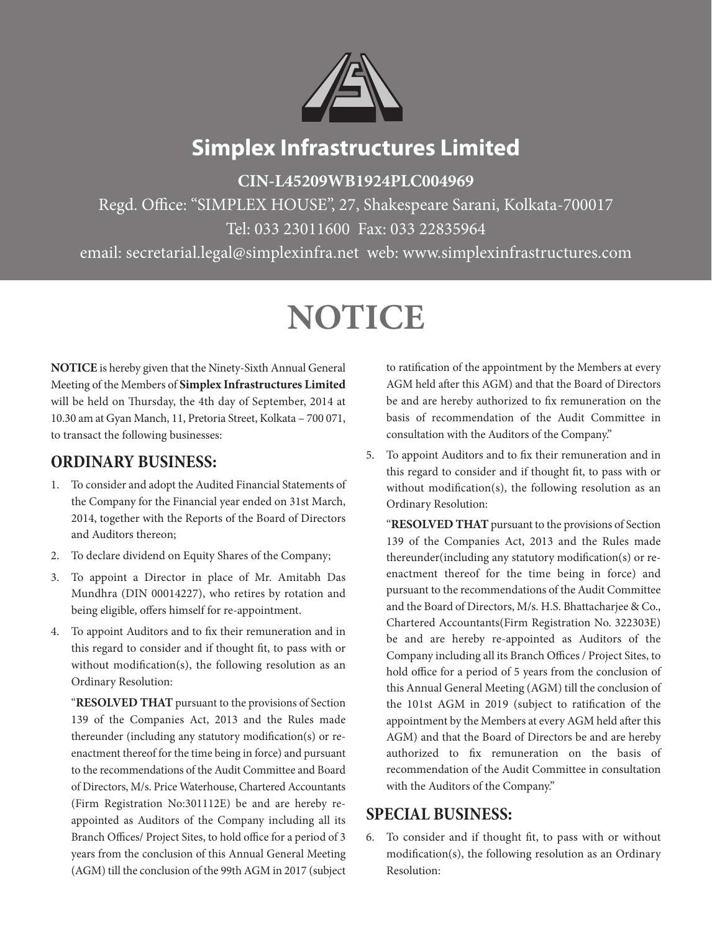

## **Simplex Infrastructures Limited**

**CIN-L45209WB1924PLC004969**

Regd. Office: "SIMPLEX HOUSE", 27, Shakespeare Sarani, Kolkata-700017 Tel: 033 23011600 Fax: 033 22835964

email: secretarial.legal@simplexinfra.net web: www.simplexinfrastructures.com

# **NOTICE**

**NOTICE** is hereby given that the Ninety-Sixth Annual General Meeting of the Members of **Simplex Infrastructures Limited** will be held on Thursday, the 4th day of September, 2014 at 10.30 am at Gyan Manch, 11, Pretoria Street, Kolkata – 700 071, to transact the following businesses:

## **ORDINARY BUSINESS:**

- 1. To consider and adopt the Audited Financial Statements of the Company for the Financial year ended on 31st March, 2014, together with the Reports of the Board of Directors and Auditors thereon;
- 2. To declare dividend on Equity Shares of the Company;
- 3. To appoint a Director in place of Mr. Amitabh Das Mundhra (DIN 00014227), who retires by rotation and being eligible, offers himself for re-appointment.
- 4. To appoint Auditors and to fix their remuneration and in this regard to consider and if thought fit, to pass with or without modification(s), the following resolution as an Ordinary Resolution:

"**RESOLVED THAT** pursuant to the provisions of Section 139 of the Companies Act, 2013 and the Rules made thereunder (including any statutory modification(s) or reenactment thereof for the time being in force) and pursuant to the recommendations of the Audit Committee and Board of Directors, M/s. Price Waterhouse, Chartered Accountants (Firm Registration No:301112E) be and are hereby reappointed as Auditors of the Company including all its Branch Offices/ Project Sites, to hold office for a period of 3 years from the conclusion of this Annual General Meeting (AGM) till the conclusion of the 99th AGM in 2017 (subject

to ratification of the appointment by the Members at every AGM held after this AGM) and that the Board of Directors be and are hereby authorized to fix remuneration on the basis of recommendation of the Audit Committee in consultation with the Auditors of the Company."

5. To appoint Auditors and to fix their remuneration and in this regard to consider and if thought fit, to pass with or without modification(s), the following resolution as an Ordinary Resolution:

"**RESOLVED THAT** pursuant to the provisions of Section 139 of the Companies Act, 2013 and the Rules made thereunder(including any statutory modification(s) or reenactment thereof for the time being in force) and pursuant to the recommendations of the Audit Committee and the Board of Directors, M/s. H.S. Bhattacharjee & Co., Chartered Accountants(Firm Registration No. 322303E) be and are hereby re-appointed as Auditors of the Company including all its Branch Offices / Project Sites, to hold office for a period of 5 years from the conclusion of this Annual General Meeting (AGM) till the conclusion of the 101st AGM in 2019 (subject to ratification of the appointment by the Members at every AGM held after this AGM) and that the Board of Directors be and are hereby authorized to fix remuneration on the basis of recommendation of the Audit Committee in consultation with the Auditors of the Company."

## **SPECIAL BUSINESS:**

6. To consider and if thought fit, to pass with or without modification(s), the following resolution as an Ordinary Resolution: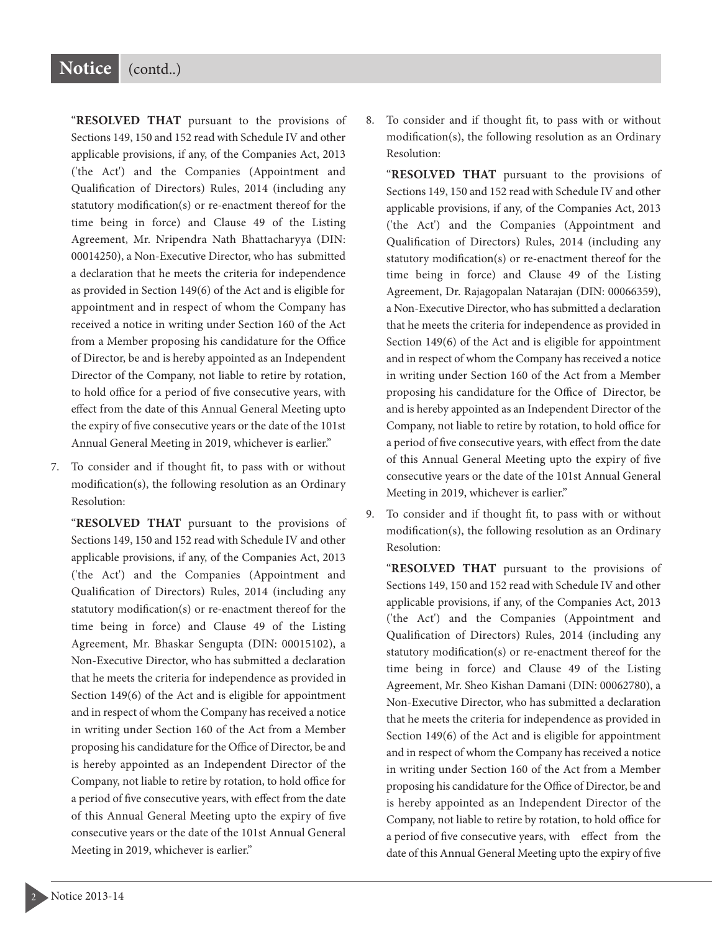### **Notice** (contd..)

"**RESOLVED THAT** pursuant to the provisions of Sections 149, 150 and 152 read with Schedule IV and other applicable provisions, if any, of the Companies Act, 2013 ('the Act') and the Companies (Appointment and Qualification of Directors) Rules, 2014 (including any statutory modification(s) or re-enactment thereof for the time being in force) and Clause 49 of the Listing Agreement, Mr. Nripendra Nath Bhattacharyya (DIN: 00014250), a Non-Executive Director, who has submitted a declaration that he meets the criteria for independence as provided in Section 149(6) of the Act and is eligible for appointment and in respect of whom the Company has received a notice in writing under Section 160 of the Act from a Member proposing his candidature for the Office of Director, be and is hereby appointed as an Independent Director of the Company, not liable to retire by rotation, to hold office for a period of five consecutive years, with effect from the date of this Annual General Meeting upto the expiry of five consecutive years or the date of the 101st Annual General Meeting in 2019, whichever is earlier."

7. To consider and if thought fit, to pass with or without modification(s), the following resolution as an Ordinary Resolution:

"**RESOLVED THAT** pursuant to the provisions of Sections 149, 150 and 152 read with Schedule IV and other applicable provisions, if any, of the Companies Act, 2013 ('the Act') and the Companies (Appointment and Qualification of Directors) Rules, 2014 (including any statutory modification(s) or re-enactment thereof for the time being in force) and Clause 49 of the Listing Agreement, Mr. Bhaskar Sengupta (DIN: 00015102), a Non-Executive Director, who has submitted a declaration that he meets the criteria for independence as provided in Section 149(6) of the Act and is eligible for appointment and in respect of whom the Company has received a notice in writing under Section 160 of the Act from a Member proposing his candidature for the Office of Director, be and is hereby appointed as an Independent Director of the Company, not liable to retire by rotation, to hold office for a period of five consecutive years, with effect from the date of this Annual General Meeting upto the expiry of five consecutive years or the date of the 101st Annual General Meeting in 2019, whichever is earlier."

8. To consider and if thought fit, to pass with or without modification(s), the following resolution as an Ordinary Resolution:

"**RESOLVED THAT** pursuant to the provisions of Sections 149, 150 and 152 read with Schedule IV and other applicable provisions, if any, of the Companies Act, 2013 ('the Act') and the Companies (Appointment and Qualification of Directors) Rules, 2014 (including any statutory modification(s) or re-enactment thereof for the time being in force) and Clause 49 of the Listing Agreement, Dr. Rajagopalan Natarajan (DIN: 00066359), a Non-Executive Director, who has submitted a declaration that he meets the criteria for independence as provided in Section 149(6) of the Act and is eligible for appointment and in respect of whom the Company has received a notice in writing under Section 160 of the Act from a Member proposing his candidature for the Office of Director, be and is hereby appointed as an Independent Director of the Company, not liable to retire by rotation, to hold office for a period of five consecutive years, with effect from the date of this Annual General Meeting upto the expiry of five consecutive years or the date of the 101st Annual General Meeting in 2019, whichever is earlier."

9. To consider and if thought fit, to pass with or without modification(s), the following resolution as an Ordinary Resolution:

"**RESOLVED THAT** pursuant to the provisions of Sections 149, 150 and 152 read with Schedule IV and other applicable provisions, if any, of the Companies Act, 2013 ('the Act') and the Companies (Appointment and Qualification of Directors) Rules, 2014 (including any statutory modification(s) or re-enactment thereof for the time being in force) and Clause 49 of the Listing Agreement, Mr. Sheo Kishan Damani (DIN: 00062780), a Non-Executive Director, who has submitted a declaration that he meets the criteria for independence as provided in Section 149(6) of the Act and is eligible for appointment and in respect of whom the Company has received a notice in writing under Section 160 of the Act from a Member proposing his candidature for the Office of Director, be and is hereby appointed as an Independent Director of the Company, not liable to retire by rotation, to hold office for a period of five consecutive years, with effect from the date of this Annual General Meeting upto the expiry of five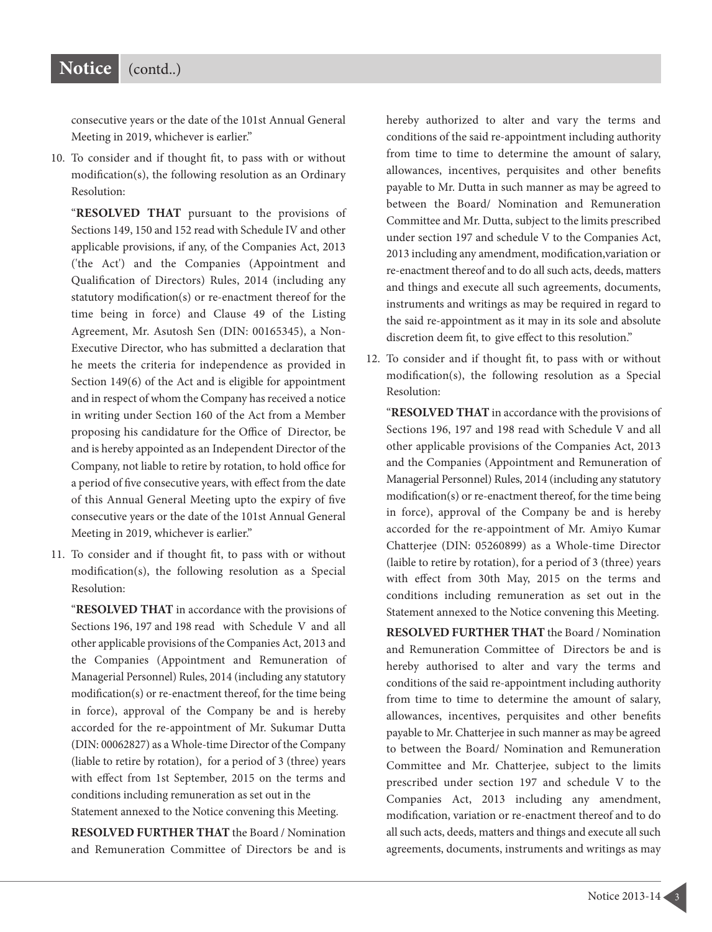consecutive years or the date of the 101st Annual General Meeting in 2019, whichever is earlier."

10. To consider and if thought fit, to pass with or without modification(s), the following resolution as an Ordinary Resolution:

"**RESOLVED THAT** pursuant to the provisions of Sections 149, 150 and 152 read with Schedule IV and other applicable provisions, if any, of the Companies Act, 2013 ('the Act') and the Companies (Appointment and Qualification of Directors) Rules, 2014 (including any statutory modification(s) or re-enactment thereof for the time being in force) and Clause 49 of the Listing Agreement, Mr. Asutosh Sen (DIN: 00165345), a Non-Executive Director, who has submitted a declaration that he meets the criteria for independence as provided in Section 149(6) of the Act and is eligible for appointment and in respect of whom the Company has received a notice in writing under Section 160 of the Act from a Member proposing his candidature for the Office of Director, be and is hereby appointed as an Independent Director of the Company, not liable to retire by rotation, to hold office for a period of five consecutive years, with effect from the date of this Annual General Meeting upto the expiry of five consecutive years or the date of the 101st Annual General Meeting in 2019, whichever is earlier."

11. To consider and if thought fit, to pass with or without modification(s), the following resolution as a Special Resolution:

"**RESOLVED THAT** in accordance with the provisions of Sections 196, 197 and 198 read with Schedule V and all other applicable provisions of the Companies Act, 2013 and the Companies (Appointment and Remuneration of Managerial Personnel) Rules, 2014 (including any statutory modification(s) or re-enactment thereof, for the time being in force), approval of the Company be and is hereby accorded for the re-appointment of Mr. Sukumar Dutta (DIN: 00062827) as a Whole-time Director of the Company (liable to retire by rotation), for a period of 3 (three) years with effect from 1st September, 2015 on the terms and conditions including remuneration as set out in the Statement annexed to the Notice convening this Meeting.

**RESOLVED FURTHER THAT** the Board / Nomination and Remuneration Committee of Directors be and is hereby authorized to alter and vary the terms and conditions of the said re-appointment including authority from time to time to determine the amount of salary, allowances, incentives, perquisites and other benefits payable to Mr. Dutta in such manner as may be agreed to between the Board/ Nomination and Remuneration Committee and Mr. Dutta, subject to the limits prescribed under section 197 and schedule V to the Companies Act, 2013 including any amendment, modification,variation or re-enactment thereof and to do all such acts, deeds, matters and things and execute all such agreements, documents, instruments and writings as may be required in regard to the said re-appointment as it may in its sole and absolute discretion deem fit, to give effect to this resolution."

12. To consider and if thought fit, to pass with or without modification(s), the following resolution as a Special Resolution:

"**RESOLVED THAT** in accordance with the provisions of Sections 196, 197 and 198 read with Schedule V and all other applicable provisions of the Companies Act, 2013 and the Companies (Appointment and Remuneration of Managerial Personnel) Rules, 2014 (including any statutory modification(s) or re-enactment thereof, for the time being in force), approval of the Company be and is hereby accorded for the re-appointment of Mr. Amiyo Kumar Chatterjee (DIN: 05260899) as a Whole-time Director (laible to retire by rotation), for a period of 3 (three) years with effect from 30th May, 2015 on the terms and conditions including remuneration as set out in the Statement annexed to the Notice convening this Meeting.

**RESOLVED FURTHER THAT** the Board / Nomination and Remuneration Committee of Directors be and is hereby authorised to alter and vary the terms and conditions of the said re-appointment including authority from time to time to determine the amount of salary, allowances, incentives, perquisites and other benefits payable to Mr. Chatterjee in such manner as may be agreed to between the Board/ Nomination and Remuneration Committee and Mr. Chatterjee, subject to the limits prescribed under section 197 and schedule V to the Companies Act, 2013 including any amendment, modification, variation or re-enactment thereof and to do all such acts, deeds, matters and things and execute all such agreements, documents, instruments and writings as may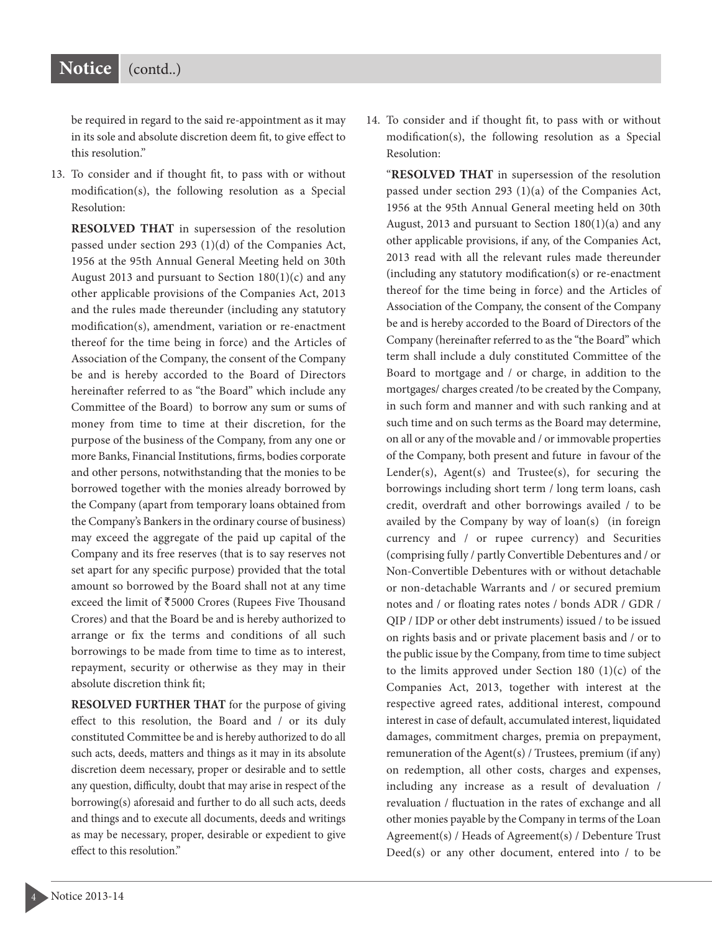## **Notice** (contd..)

be required in regard to the said re-appointment as it may in its sole and absolute discretion deem fit, to give effect to this resolution."

13. To consider and if thought fit, to pass with or without modification(s), the following resolution as a Special Resolution:

**RESOLVED THAT** in supersession of the resolution passed under section 293 (1)(d) of the Companies Act, 1956 at the 95th Annual General Meeting held on 30th August 2013 and pursuant to Section  $180(1)(c)$  and any other applicable provisions of the Companies Act, 2013 and the rules made thereunder (including any statutory modification(s), amendment, variation or re-enactment thereof for the time being in force) and the Articles of Association of the Company, the consent of the Company be and is hereby accorded to the Board of Directors hereinafter referred to as "the Board" which include any Committee of the Board) to borrow any sum or sums of money from time to time at their discretion, for the purpose of the business of the Company, from any one or more Banks, Financial Institutions, firms, bodies corporate and other persons, notwithstanding that the monies to be borrowed together with the monies already borrowed by the Company (apart from temporary loans obtained from the Company's Bankers in the ordinary course of business) may exceed the aggregate of the paid up capital of the Company and its free reserves (that is to say reserves not set apart for any specific purpose) provided that the total amount so borrowed by the Board shall not at any time exceed the limit of  $\overline{5000}$  Crores (Rupees Five Thousand Crores) and that the Board be and is hereby authorized to arrange or fix the terms and conditions of all such borrowings to be made from time to time as to interest, repayment, security or otherwise as they may in their absolute discretion think fit;

**RESOLVED FURTHER THAT** for the purpose of giving effect to this resolution, the Board and / or its duly constituted Committee be and is hereby authorized to do all such acts, deeds, matters and things as it may in its absolute discretion deem necessary, proper or desirable and to settle any question, difficulty, doubt that may arise in respect of the borrowing(s) aforesaid and further to do all such acts, deeds and things and to execute all documents, deeds and writings as may be necessary, proper, desirable or expedient to give effect to this resolution."

14. To consider and if thought fit, to pass with or without modification(s), the following resolution as a Special Resolution:

"**RESOLVED THAT** in supersession of the resolution passed under section 293 (1)(a) of the Companies Act, 1956 at the 95th Annual General meeting held on 30th August, 2013 and pursuant to Section 180(1)(a) and any other applicable provisions, if any, of the Companies Act, 2013 read with all the relevant rules made thereunder (including any statutory modification(s) or re-enactment thereof for the time being in force) and the Articles of Association of the Company, the consent of the Company be and is hereby accorded to the Board of Directors of the Company (hereinafter referred to as the "the Board" which term shall include a duly constituted Committee of the Board to mortgage and / or charge, in addition to the mortgages/ charges created /to be created by the Company, in such form and manner and with such ranking and at such time and on such terms as the Board may determine, on all or any of the movable and / or immovable properties of the Company, both present and future in favour of the Lender(s), Agent(s) and Trustee(s), for securing the borrowings including short term / long term loans, cash credit, overdraft and other borrowings availed / to be availed by the Company by way of loan(s) (in foreign currency and / or rupee currency) and Securities (comprising fully / partly Convertible Debentures and / or Non-Convertible Debentures with or without detachable or non-detachable Warrants and / or secured premium notes and / or floating rates notes / bonds ADR / GDR / QIP / IDP or other debt instruments) issued / to be issued on rights basis and or private placement basis and / or to the public issue by the Company, from time to time subject to the limits approved under Section 180  $(1)(c)$  of the Companies Act, 2013, together with interest at the respective agreed rates, additional interest, compound interest in case of default, accumulated interest, liquidated damages, commitment charges, premia on prepayment, remuneration of the Agent(s) / Trustees, premium (if any) on redemption, all other costs, charges and expenses, including any increase as a result of devaluation / revaluation / fluctuation in the rates of exchange and all other monies payable by the Company in terms of the Loan Agreement(s) / Heads of Agreement(s) / Debenture Trust Deed(s) or any other document, entered into / to be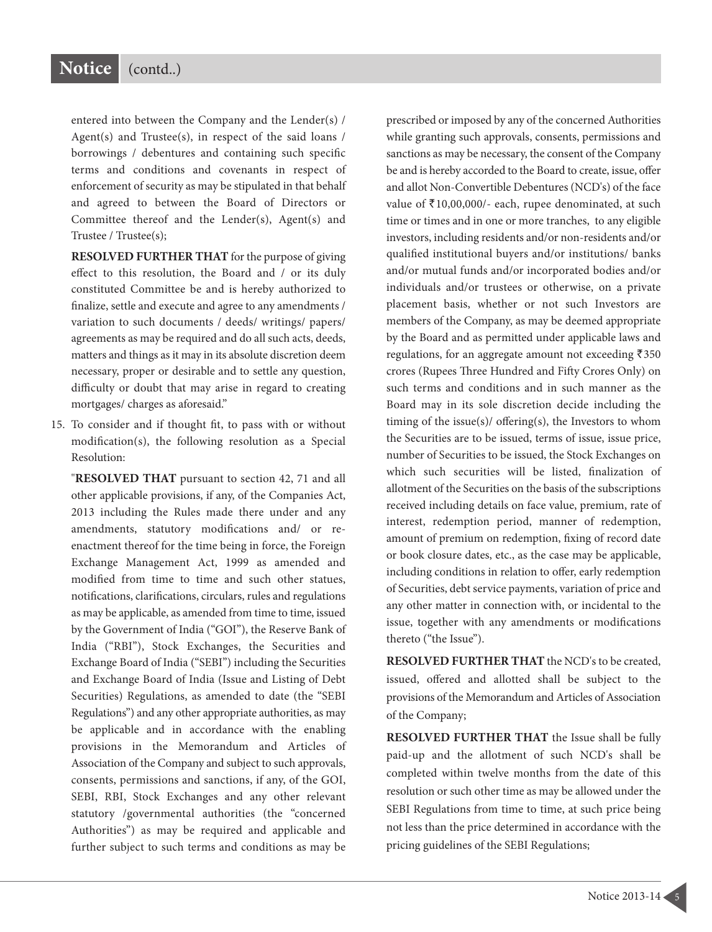entered into between the Company and the Lender(s) / Agent(s) and Trustee(s), in respect of the said loans / borrowings / debentures and containing such specific terms and conditions and covenants in respect of enforcement of security as may be stipulated in that behalf and agreed to between the Board of Directors or Committee thereof and the Lender(s), Agent(s) and Trustee / Trustee(s);

**RESOLVED FURTHER THAT** for the purpose of giving effect to this resolution, the Board and / or its duly constituted Committee be and is hereby authorized to finalize, settle and execute and agree to any amendments / variation to such documents / deeds/ writings/ papers/ agreements as may be required and do all such acts, deeds, matters and things as it may in its absolute discretion deem necessary, proper or desirable and to settle any question, difficulty or doubt that may arise in regard to creating mortgages/ charges as aforesaid."

15. To consider and if thought fit, to pass with or without modification(s), the following resolution as a Special Resolution:

"**RESOLVED THAT** pursuant to section 42, 71 and all other applicable provisions, if any, of the Companies Act, 2013 including the Rules made there under and any amendments, statutory modifications and/ or reenactment thereof for the time being in force, the Foreign Exchange Management Act, 1999 as amended and modified from time to time and such other statues, notifications, clarifications, circulars, rules and regulations as may be applicable, as amended from time to time, issued by the Government of India ("GOI"), the Reserve Bank of India ("RBI"), Stock Exchanges, the Securities and Exchange Board of India ("SEBI") including the Securities and Exchange Board of India (Issue and Listing of Debt Securities) Regulations, as amended to date (the "SEBI Regulations") and any other appropriate authorities, as may be applicable and in accordance with the enabling provisions in the Memorandum and Articles of Association of the Company and subject to such approvals, consents, permissions and sanctions, if any, of the GOI, SEBI, RBI, Stock Exchanges and any other relevant statutory /governmental authorities (the "concerned Authorities") as may be required and applicable and further subject to such terms and conditions as may be

prescribed or imposed by any of the concerned Authorities while granting such approvals, consents, permissions and sanctions as may be necessary, the consent of the Company be and is hereby accorded to the Board to create, issue, offer and allot Non-Convertible Debentures (NCD's) of the face value of  $\bar{\tau}$ 10,00,000/- each, rupee denominated, at such time or times and in one or more tranches, to any eligible investors, including residents and/or non-residents and/or qualified institutional buyers and/or institutions/ banks and/or mutual funds and/or incorporated bodies and/or individuals and/or trustees or otherwise, on a private placement basis, whether or not such Investors are members of the Company, as may be deemed appropriate by the Board and as permitted under applicable laws and regulations, for an aggregate amount not exceeding  $\overline{5}350$ crores (Rupees Three Hundred and Fifty Crores Only) on such terms and conditions and in such manner as the Board may in its sole discretion decide including the timing of the issue(s)/ offering(s), the Investors to whom the Securities are to be issued, terms of issue, issue price, number of Securities to be issued, the Stock Exchanges on which such securities will be listed, finalization of allotment of the Securities on the basis of the subscriptions received including details on face value, premium, rate of interest, redemption period, manner of redemption, amount of premium on redemption, fixing of record date or book closure dates, etc., as the case may be applicable, including conditions in relation to offer, early redemption of Securities, debt service payments, variation of price and any other matter in connection with, or incidental to the issue, together with any amendments or modifications thereto ("the Issue").

**RESOLVED FURTHER THAT** the NCD's to be created, issued, offered and allotted shall be subject to the provisions of the Memorandum and Articles of Association of the Company;

**RESOLVED FURTHER THAT** the Issue shall be fully paid-up and the allotment of such NCD's shall be completed within twelve months from the date of this resolution or such other time as may be allowed under the SEBI Regulations from time to time, at such price being not less than the price determined in accordance with the pricing guidelines of the SEBI Regulations;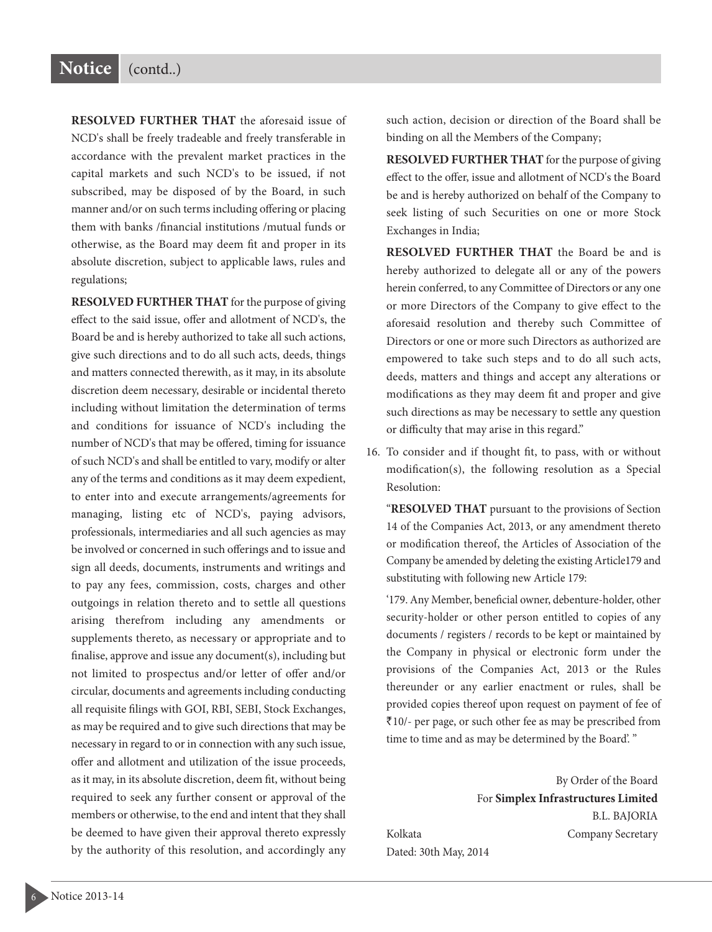**RESOLVED FURTHER THAT** the aforesaid issue of NCD's shall be freely tradeable and freely transferable in accordance with the prevalent market practices in the capital markets and such NCD's to be issued, if not subscribed, may be disposed of by the Board, in such manner and/or on such terms including offering or placing them with banks /financial institutions /mutual funds or otherwise, as the Board may deem fit and proper in its absolute discretion, subject to applicable laws, rules and regulations;

**RESOLVED FURTHER THAT** for the purpose of giving effect to the said issue, offer and allotment of NCD's, the Board be and is hereby authorized to take all such actions, give such directions and to do all such acts, deeds, things and matters connected therewith, as it may, in its absolute discretion deem necessary, desirable or incidental thereto including without limitation the determination of terms and conditions for issuance of NCD's including the number of NCD's that may be offered, timing for issuance of such NCD's and shall be entitled to vary, modify or alter any of the terms and conditions as it may deem expedient, to enter into and execute arrangements/agreements for managing, listing etc of NCD's, paying advisors, professionals, intermediaries and all such agencies as may be involved or concerned in such offerings and to issue and sign all deeds, documents, instruments and writings and to pay any fees, commission, costs, charges and other outgoings in relation thereto and to settle all questions arising therefrom including any amendments or supplements thereto, as necessary or appropriate and to finalise, approve and issue any document(s), including but not limited to prospectus and/or letter of offer and/or circular, documents and agreements including conducting all requisite filings with GOI, RBI, SEBI, Stock Exchanges, as may be required and to give such directions that may be necessary in regard to or in connection with any such issue, offer and allotment and utilization of the issue proceeds, as it may, in its absolute discretion, deem fit, without being required to seek any further consent or approval of the members or otherwise, to the end and intent that they shall be deemed to have given their approval thereto expressly by the authority of this resolution, and accordingly any

such action, decision or direction of the Board shall be binding on all the Members of the Company;

**RESOLVED FURTHER THAT** for the purpose of giving effect to the offer, issue and allotment of NCD's the Board be and is hereby authorized on behalf of the Company to seek listing of such Securities on one or more Stock Exchanges in India;

**RESOLVED FURTHER THAT** the Board be and is hereby authorized to delegate all or any of the powers herein conferred, to any Committee of Directors or any one or more Directors of the Company to give effect to the aforesaid resolution and thereby such Committee of Directors or one or more such Directors as authorized are empowered to take such steps and to do all such acts, deeds, matters and things and accept any alterations or modifications as they may deem fit and proper and give such directions as may be necessary to settle any question or difficulty that may arise in this regard."

16. To consider and if thought fit, to pass, with or without modification(s), the following resolution as a Special Resolution:

"**RESOLVED THAT** pursuant to the provisions of Section 14 of the Companies Act, 2013, or any amendment thereto or modification thereof, the Articles of Association of the Company be amended by deleting the existing Article179 and substituting with following new Article 179:

'179. Any Member, beneficial owner, debenture-holder, other security-holder or other person entitled to copies of any documents / registers / records to be kept or maintained by the Company in physical or electronic form under the provisions of the Companies Act, 2013 or the Rules thereunder or any earlier enactment or rules, shall be provided copies thereof upon request on payment of fee of `10/- per page, or such other fee as may be prescribed from time to time and as may be determined by the Board'. "

By Order of the Board For **Simplex Infrastructures Limited** B.L. BAJORIA Kolkata **Company Secretary** Dated: 30th May, 2014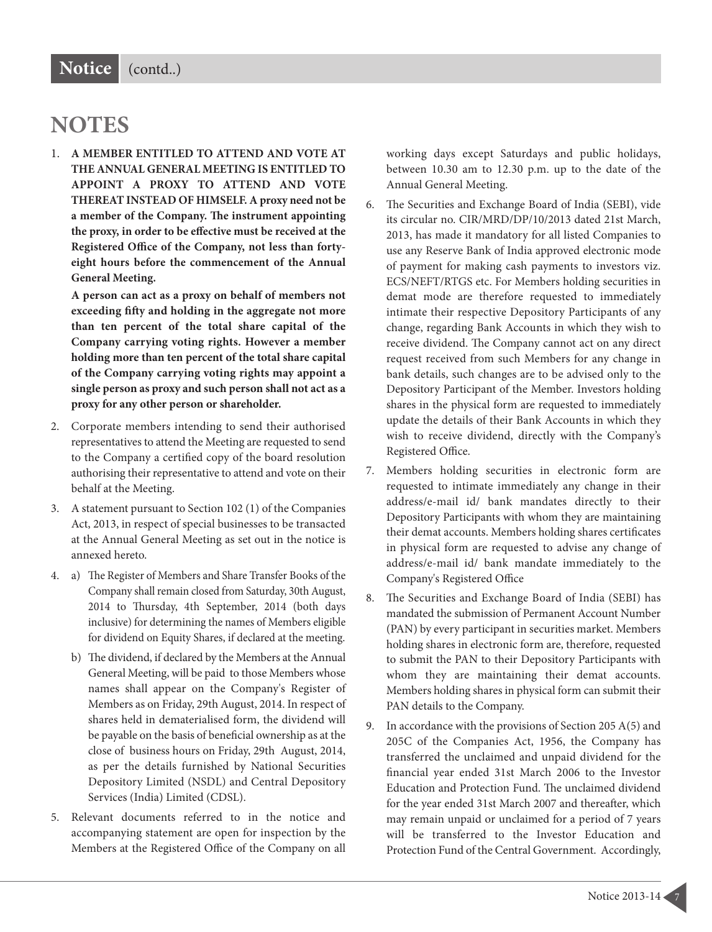## **NOTES**

1. **A MEMBER ENTITLED TO ATTEND AND VOTE AT THE ANNUAL GENERAL MEETING IS ENTITLED TO APPOINT A PROXY TO ATTEND AND VOTE THEREAT INSTEAD OF HIMSELF. A proxy need not be a member of the Company. e instrument appointing the proxy, in order to be effective must be received at the Registered Office of the Company, not less than fortyeight hours before the commencement of the Annual General Meeting.**

**A person can act as a proxy on behalf of members not exceeding fiy and holding in the aggregate not more than ten percent of the total share capital of the Company carrying voting rights. However a member holding more than ten percent of the total share capital of the Company carrying voting rights may appoint a single person as proxy and such person shall not act as a proxy for any other person or shareholder.**

- 2. Corporate members intending to send their authorised representatives to attend the Meeting are requested to send to the Company a certified copy of the board resolution authorising their representative to attend and vote on their behalf at the Meeting.
- 3. A statement pursuant to Section 102 (1) of the Companies Act, 2013, in respect of special businesses to be transacted at the Annual General Meeting as set out in the notice is annexed hereto.
- 4. a) The Register of Members and Share Transfer Books of the Company shall remain closed from Saturday, 30th August, 2014 to Thursday, 4th September, 2014 (both days inclusive) for determining the names of Members eligible for dividend on Equity Shares, if declared at the meeting.
	- b) The dividend, if declared by the Members at the Annual General Meeting, will be paid to those Members whose names shall appear on the Company's Register of Members as on Friday, 29th August, 2014. In respect of shares held in dematerialised form, the dividend will be payable on the basis of beneficial ownership as at the close of business hours on Friday, 29th August, 2014, as per the details furnished by National Securities Depository Limited (NSDL) and Central Depository Services (India) Limited (CDSL).
- 5. Relevant documents referred to in the notice and accompanying statement are open for inspection by the Members at the Registered Office of the Company on all

working days except Saturdays and public holidays, between 10.30 am to 12.30 p.m. up to the date of the Annual General Meeting.

- 6. The Securities and Exchange Board of India (SEBI), vide its circular no. CIR/MRD/DP/10/2013 dated 21st March, 2013, has made it mandatory for all listed Companies to use any Reserve Bank of India approved electronic mode of payment for making cash payments to investors viz. ECS/NEFT/RTGS etc. For Members holding securities in demat mode are therefore requested to immediately intimate their respective Depository Participants of any change, regarding Bank Accounts in which they wish to receive dividend. The Company cannot act on any direct request received from such Members for any change in bank details, such changes are to be advised only to the Depository Participant of the Member. Investors holding shares in the physical form are requested to immediately update the details of their Bank Accounts in which they wish to receive dividend, directly with the Company's Registered Office.
- 7. Members holding securities in electronic form are requested to intimate immediately any change in their address/e-mail id/ bank mandates directly to their Depository Participants with whom they are maintaining their demat accounts. Members holding shares certificates in physical form are requested to advise any change of address/e-mail id/ bank mandate immediately to the Company's Registered Office
- 8. The Securities and Exchange Board of India (SEBI) has mandated the submission of Permanent Account Number (PAN) by every participant in securities market. Members holding shares in electronic form are, therefore, requested to submit the PAN to their Depository Participants with whom they are maintaining their demat accounts. Members holding shares in physical form can submit their PAN details to the Company.
- 9. In accordance with the provisions of Section 205 A(5) and 205C of the Companies Act, 1956, the Company has transferred the unclaimed and unpaid dividend for the financial year ended 31st March 2006 to the Investor Education and Protection Fund. The unclaimed dividend for the year ended 31st March 2007 and thereafter, which may remain unpaid or unclaimed for a period of 7 years will be transferred to the Investor Education and Protection Fund of the Central Government. Accordingly,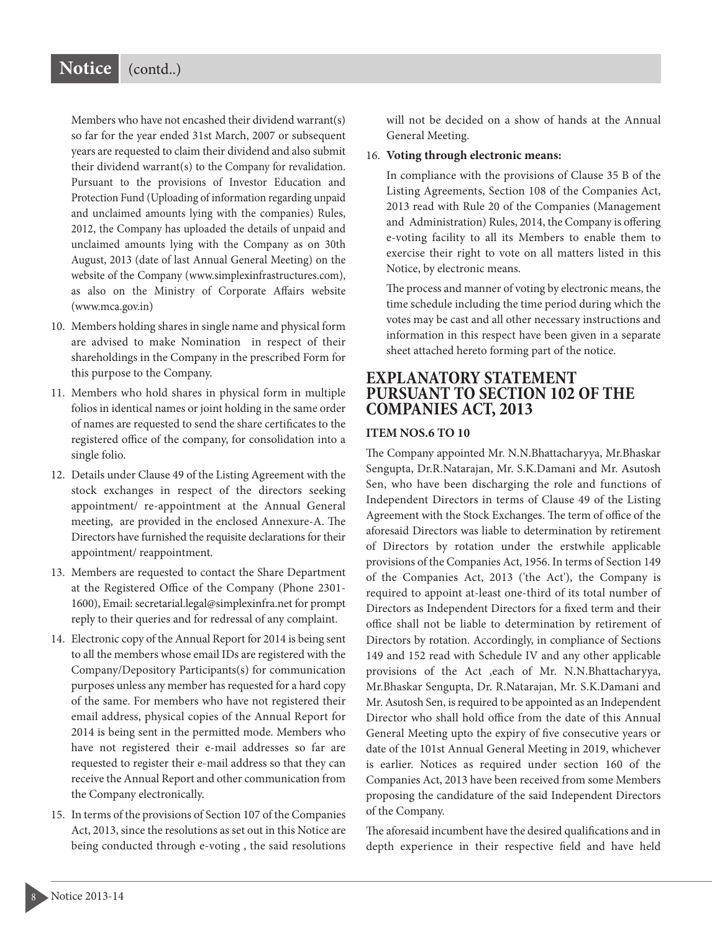Members who have not encashed their dividend warrant(s) so far for the year ended 31st March, 2007 or subsequent years are requested to claim their dividend and also submit their dividend warrant(s) to the Company for revalidation. Pursuant to the provisions of Investor Education and Protection Fund (Uploading of information regarding unpaid and unclaimed amounts lying with the companies) Rules, 2012, the Company has uploaded the details of unpaid and unclaimed amounts lying with the Company as on 30th August, 2013 (date of last Annual General Meeting) on the website of the Company (www.simplexinfrastructures.com), as also on the Ministry of Corporate Affairs website (www.mca.gov.in)

- 10. Members holding shares in single name and physical form are advised to make Nomination in respect of their shareholdings in the Company in the prescribed Form for this purpose to the Company.
- 11. Members who hold shares in physical form in multiple folios in identical names or joint holding in the same order of names are requested to send the share certificates to the registered office of the company, for consolidation into a single folio.
- 12. Details under Clause 49 of the Listing Agreement with the stock exchanges in respect of the directors seeking appointment/ re-appointment at the Annual General meeting, are provided in the enclosed Annexure-A. The Directors have furnished the requisite declarations for their appointment/ reappointment.
- 13. Members are requested to contact the Share Department at the Registered Office of the Company (Phone 2301- 1600), Email: secretarial.legal@simplexinfra.net for prompt reply to their queries and for redressal of any complaint.
- 14. Electronic copy of the Annual Report for 2014 is being sent to all the members whose email IDs are registered with the Company/Depository Participants(s) for communication purposes unless any member has requested for a hard copy of the same. For members who have not registered their email address, physical copies of the Annual Report for 2014 is being sent in the permitted mode. Members who have not registered their e-mail addresses so far are requested to register their e-mail address so that they can receive the Annual Report and other communication from the Company electronically.
- 15. In terms of the provisions of Section 107 of the Companies Act, 2013, since the resolutions as set out in this Notice are being conducted through e-voting , the said resolutions

will not be decided on a show of hands at the Annual General Meeting.

#### 16. **Voting through electronic means:**

In compliance with the provisions of Clause 35 B of the Listing Agreements, Section 108 of the Companies Act, 2013 read with Rule 20 of the Companies (Management and Administration) Rules, 2014, the Company is offering e-voting facility to all its Members to enable them to exercise their right to vote on all matters listed in this Notice, by electronic means.

The process and manner of voting by electronic means, the time schedule including the time period during which the votes may be cast and all other necessary instructions and information in this respect have been given in a separate sheet attached hereto forming part of the notice.

#### **EXPLANATORY STATEMENT PURSUANT TO SECTION 102 OF THE COMPANIES ACT, 2013**

#### **ITEM NOS.6 TO 10**

The Company appointed Mr. N.N.Bhattacharyya, Mr.Bhaskar Sengupta, Dr.R.Natarajan, Mr. S.K.Damani and Mr. Asutosh Sen, who have been discharging the role and functions of Independent Directors in terms of Clause 49 of the Listing Agreement with the Stock Exchanges. The term of office of the aforesaid Directors was liable to determination by retirement of Directors by rotation under the erstwhile applicable provisions of the Companies Act, 1956. In terms of Section 149 of the Companies Act, 2013 ('the Act'), the Company is required to appoint at-least one-third of its total number of Directors as Independent Directors for a fixed term and their office shall not be liable to determination by retirement of Directors by rotation. Accordingly, in compliance of Sections 149 and 152 read with Schedule IV and any other applicable provisions of the Act ,each of Mr. N.N.Bhattacharyya, Mr.Bhaskar Sengupta, Dr. R.Natarajan, Mr. S.K.Damani and Mr. Asutosh Sen, is required to be appointed as an Independent Director who shall hold office from the date of this Annual General Meeting upto the expiry of five consecutive years or date of the 101st Annual General Meeting in 2019, whichever is earlier. Notices as required under section 160 of the Companies Act, 2013 have been received from some Members proposing the candidature of the said Independent Directors of the Company.

The aforesaid incumbent have the desired qualifications and in depth experience in their respective field and have held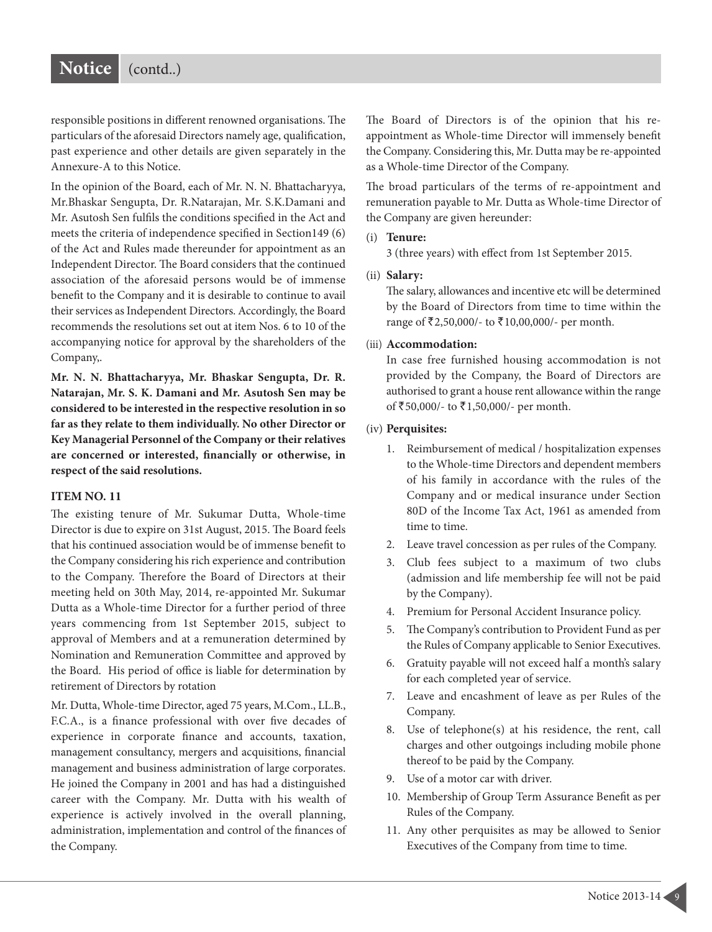responsible positions in different renowned organisations. The particulars of the aforesaid Directors namely age, qualification, past experience and other details are given separately in the Annexure-A to this Notice.

In the opinion of the Board, each of Mr. N. N. Bhattacharyya, Mr.Bhaskar Sengupta, Dr. R.Natarajan, Mr. S.K.Damani and Mr. Asutosh Sen fulfils the conditions specified in the Act and meets the criteria of independence specified in Section149 (6) of the Act and Rules made thereunder for appointment as an Independent Director. The Board considers that the continued association of the aforesaid persons would be of immense benefit to the Company and it is desirable to continue to avail their services as Independent Directors. Accordingly, the Board recommends the resolutions set out at item Nos. 6 to 10 of the accompanying notice for approval by the shareholders of the Company,.

**Mr. N. N. Bhattacharyya, Mr. Bhaskar Sengupta, Dr. R. Natarajan, Mr. S. K. Damani and Mr. Asutosh Sen may be considered to be interested in the respective resolution in so far as they relate to them individually. No other Director or Key Managerial Personnel of the Company or their relatives are concerned or interested, financially or otherwise, in respect of the said resolutions.**

#### **ITEM NO. 11**

The existing tenure of Mr. Sukumar Dutta, Whole-time Director is due to expire on 31st August, 2015. The Board feels that his continued association would be of immense benefit to the Company considering his rich experience and contribution to the Company. Therefore the Board of Directors at their meeting held on 30th May, 2014, re-appointed Mr. Sukumar Dutta as a Whole-time Director for a further period of three years commencing from 1st September 2015, subject to approval of Members and at a remuneration determined by Nomination and Remuneration Committee and approved by the Board. His period of office is liable for determination by retirement of Directors by rotation

Mr. Dutta, Whole-time Director, aged 75 years, M.Com., LL.B., F.C.A., is a finance professional with over five decades of experience in corporate finance and accounts, taxation, management consultancy, mergers and acquisitions, financial management and business administration of large corporates. He joined the Company in 2001 and has had a distinguished career with the Company. Mr. Dutta with his wealth of experience is actively involved in the overall planning, administration, implementation and control of the finances of the Company.

The Board of Directors is of the opinion that his reappointment as Whole-time Director will immensely benefit the Company. Considering this, Mr. Dutta may be re-appointed as a Whole-time Director of the Company.

The broad particulars of the terms of re-appointment and remuneration payable to Mr. Dutta as Whole-time Director of the Company are given hereunder:

#### (i) **Tenure:**

3 (three years) with effect from 1st September 2015.

#### (ii) **Salary:**

The salary, allowances and incentive etc will be determined by the Board of Directors from time to time within the range of ₹2,50,000/- to ₹10,00,000/- per month.

#### (iii) **Accommodation:**

In case free furnished housing accommodation is not provided by the Company, the Board of Directors are authorised to grant a house rent allowance within the range of  $\bar{5}50,000$ /- to  $\bar{5}1,50,000$ /- per month.

#### (iv) **Perquisites:**

- 1. Reimbursement of medical / hospitalization expenses to the Whole-time Directors and dependent members of his family in accordance with the rules of the Company and or medical insurance under Section 80D of the Income Tax Act, 1961 as amended from time to time.
- 2. Leave travel concession as per rules of the Company.
- 3. Club fees subject to a maximum of two clubs (admission and life membership fee will not be paid by the Company).
- 4. Premium for Personal Accident Insurance policy.
- 5. The Company's contribution to Provident Fund as per the Rules of Company applicable to Senior Executives.
- 6. Gratuity payable will not exceed half a month's salary for each completed year of service.
- 7. Leave and encashment of leave as per Rules of the Company.
- 8. Use of telephone(s) at his residence, the rent, call charges and other outgoings including mobile phone thereof to be paid by the Company.
- 9. Use of a motor car with driver.
- 10. Membership of Group Term Assurance Benefit as per Rules of the Company.
- 11. Any other perquisites as may be allowed to Senior Executives of the Company from time to time.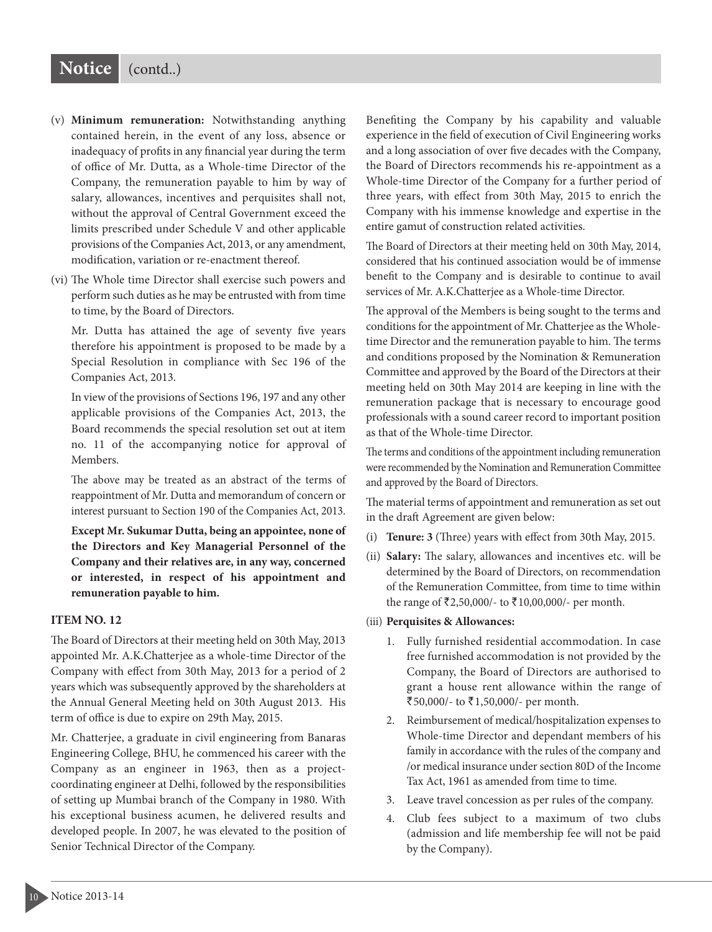### **Notice** (contd..)

- (v) **Minimum remuneration:** Notwithstanding anything contained herein, in the event of any loss, absence or inadequacy of profits in any financial year during the term of office of Mr. Dutta, as a Whole-time Director of the Company, the remuneration payable to him by way of salary, allowances, incentives and perquisites shall not, without the approval of Central Government exceed the limits prescribed under Schedule V and other applicable provisions of the Companies Act, 2013, or any amendment, modification, variation or re-enactment thereof.
- (vi) The Whole time Director shall exercise such powers and perform such duties as he may be entrusted with from time to time, by the Board of Directors.

Mr. Dutta has attained the age of seventy five years therefore his appointment is proposed to be made by a Special Resolution in compliance with Sec 196 of the Companies Act, 2013.

In view of the provisions of Sections 196, 197 and any other applicable provisions of the Companies Act, 2013, the Board recommends the special resolution set out at item no. 11 of the accompanying notice for approval of Members.

The above may be treated as an abstract of the terms of reappointment of Mr. Dutta and memorandum of concern or interest pursuant to Section 190 of the Companies Act, 2013.

**Except Mr. Sukumar Dutta, being an appointee, none of the Directors and Key Managerial Personnel of the Company and their relatives are, in any way, concerned or interested, in respect of his appointment and remuneration payable to him.**

#### **ITEM NO. 12**

The Board of Directors at their meeting held on 30th May, 2013 appointed Mr. A.K.Chatterjee as a whole-time Director of the Company with effect from 30th May, 2013 for a period of 2 years which was subsequently approved by the shareholders at the Annual General Meeting held on 30th August 2013. His term of office is due to expire on 29th May, 2015.

Mr. Chatterjee, a graduate in civil engineering from Banaras Engineering College, BHU, he commenced his career with the Company as an engineer in 1963, then as a projectcoordinating engineer at Delhi, followed by the responsibilities of setting up Mumbai branch of the Company in 1980. With his exceptional business acumen, he delivered results and developed people. In 2007, he was elevated to the position of Senior Technical Director of the Company.

Benefiting the Company by his capability and valuable experience in the field of execution of Civil Engineering works and a long association of over five decades with the Company, the Board of Directors recommends his re-appointment as a Whole-time Director of the Company for a further period of three years, with effect from 30th May, 2015 to enrich the Company with his immense knowledge and expertise in the entire gamut of construction related activities.

The Board of Directors at their meeting held on 30th May, 2014, considered that his continued association would be of immense benefit to the Company and is desirable to continue to avail services of Mr. A.K.Chatterjee as a Whole-time Director.

The approval of the Members is being sought to the terms and conditions for the appointment of Mr. Chatterjee as the Wholetime Director and the remuneration payable to him. The terms and conditions proposed by the Nomination & Remuneration Committee and approved by the Board of the Directors at their meeting held on 30th May 2014 are keeping in line with the remuneration package that is necessary to encourage good professionals with a sound career record to important position as that of the Whole-time Director.

The terms and conditions of the appointment including remuneration were recommended by the Nomination and Remuneration Committee and approved by the Board of Directors.

The material terms of appointment and remuneration as set out in the draft Agreement are given below:

- (i) **Tenure: 3** (Three) years with effect from 30th May, 2015.
- (ii) Salary: The salary, allowances and incentives etc. will be determined by the Board of Directors, on recommendation of the Remuneration Committee, from time to time within the range of  $\bar{\mathfrak{Z}}$  2,50,000/- to  $\bar{\mathfrak{Z}}$  10,00,000/- per month.

#### (iii) **Perquisites & Allowances:**

- 1. Fully furnished residential accommodation. In case free furnished accommodation is not provided by the Company, the Board of Directors are authorised to grant a house rent allowance within the range of ₹50,000/- to ₹1,50,000/- per month.
- 2. Reimbursement of medical/hospitalization expenses to Whole-time Director and dependant members of his family in accordance with the rules of the company and /or medical insurance under section 80D of the Income Tax Act, 1961 as amended from time to time.
- 3. Leave travel concession as per rules of the company.
- 4. Club fees subject to a maximum of two clubs (admission and life membership fee will not be paid by the Company).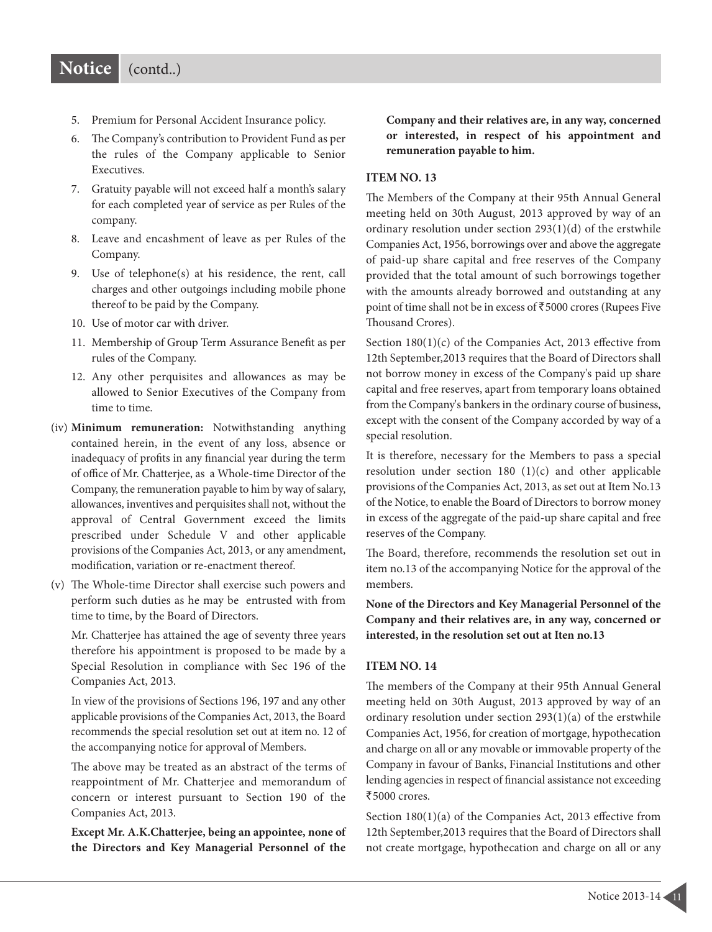- 5. Premium for Personal Accident Insurance policy.
- 6. The Company's contribution to Provident Fund as per the rules of the Company applicable to Senior Executives.
- 7. Gratuity payable will not exceed half a month's salary for each completed year of service as per Rules of the company.
- 8. Leave and encashment of leave as per Rules of the Company.
- 9. Use of telephone(s) at his residence, the rent, call charges and other outgoings including mobile phone thereof to be paid by the Company.
- 10. Use of motor car with driver.
- 11. Membership of Group Term Assurance Benefit as per rules of the Company.
- 12. Any other perquisites and allowances as may be allowed to Senior Executives of the Company from time to time.
- (iv) **Minimum remuneration:** Notwithstanding anything contained herein, in the event of any loss, absence or inadequacy of profits in any financial year during the term of office of Mr. Chatterjee, as a Whole-time Director of the Company, the remuneration payable to him by way of salary, allowances, inventives and perquisites shall not, without the approval of Central Government exceed the limits prescribed under Schedule V and other applicable provisions of the Companies Act, 2013, or any amendment, modification, variation or re-enactment thereof.
- (v) The Whole-time Director shall exercise such powers and perform such duties as he may be entrusted with from time to time, by the Board of Directors.

Mr. Chatterjee has attained the age of seventy three years therefore his appointment is proposed to be made by a Special Resolution in compliance with Sec 196 of the Companies Act, 2013.

In view of the provisions of Sections 196, 197 and any other applicable provisions of the Companies Act, 2013, the Board recommends the special resolution set out at item no. 12 of the accompanying notice for approval of Members.

The above may be treated as an abstract of the terms of reappointment of Mr. Chatterjee and memorandum of concern or interest pursuant to Section 190 of the Companies Act, 2013.

**Except Mr. A.K.Chatterjee, being an appointee, none of the Directors and Key Managerial Personnel of the**

**Company and their relatives are, in any way, concerned or interested, in respect of his appointment and remuneration payable to him.**

#### **ITEM NO. 13**

The Members of the Company at their 95th Annual General meeting held on 30th August, 2013 approved by way of an ordinary resolution under section 293(1)(d) of the erstwhile Companies Act, 1956, borrowings over and above the aggregate of paid-up share capital and free reserves of the Company provided that the total amount of such borrowings together with the amounts already borrowed and outstanding at any point of time shall not be in excess of  $\overline{5000}$  crores (Rupees Five Thousand Crores).

Section 180(1)(c) of the Companies Act, 2013 effective from 12th September,2013 requires that the Board of Directors shall not borrow money in excess of the Company's paid up share capital and free reserves, apart from temporary loans obtained from the Company's bankers in the ordinary course of business, except with the consent of the Company accorded by way of a special resolution.

It is therefore, necessary for the Members to pass a special resolution under section 180 (1)(c) and other applicable provisions of the Companies Act, 2013, as set out at Item No.13 of the Notice, to enable the Board of Directors to borrow money in excess of the aggregate of the paid-up share capital and free reserves of the Company.

The Board, therefore, recommends the resolution set out in item no.13 of the accompanying Notice for the approval of the members.

**None of the Directors and Key Managerial Personnel of the Company and their relatives are, in any way, concerned or interested, in the resolution set out at Iten no.13**

#### **ITEM NO. 14**

The members of the Company at their 95th Annual General meeting held on 30th August, 2013 approved by way of an ordinary resolution under section 293(1)(a) of the erstwhile Companies Act, 1956, for creation of mortgage, hypothecation and charge on all or any movable or immovable property of the Company in favour of Banks, Financial Institutions and other lending agencies in respect of financial assistance not exceeding  $\overline{5000}$  crores.

Section 180(1)(a) of the Companies Act, 2013 effective from 12th September,2013 requires that the Board of Directors shall not create mortgage, hypothecation and charge on all or any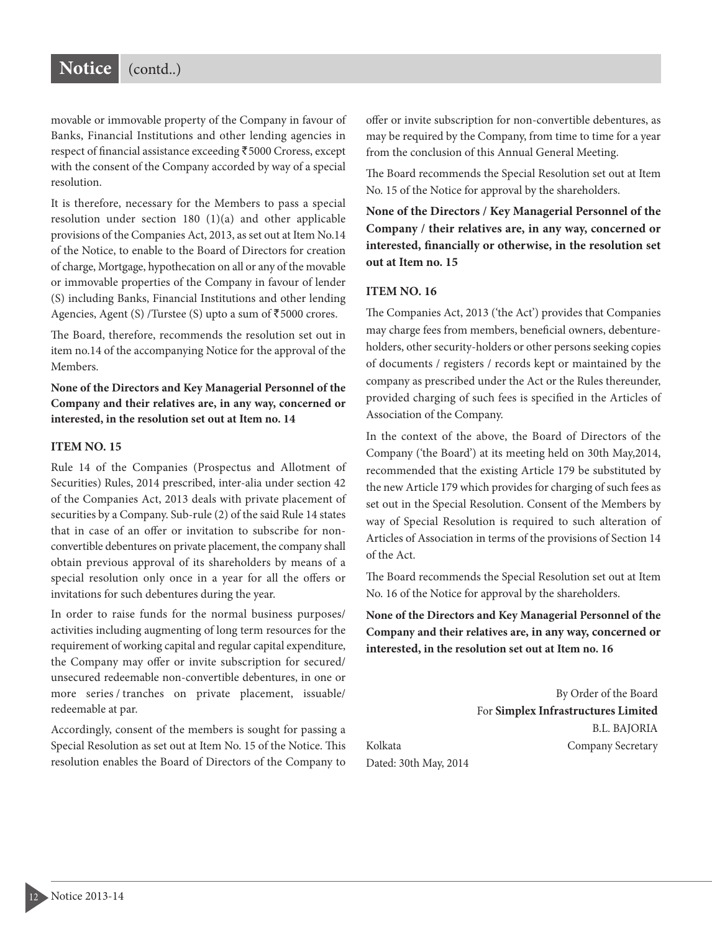movable or immovable property of the Company in favour of Banks, Financial Institutions and other lending agencies in respect of financial assistance exceeding ₹5000 Croress, except with the consent of the Company accorded by way of a special resolution.

It is therefore, necessary for the Members to pass a special resolution under section 180 (1)(a) and other applicable provisions of the Companies Act, 2013, as set out at Item No.14 of the Notice, to enable to the Board of Directors for creation of charge, Mortgage, hypothecation on all or any of the movable or immovable properties of the Company in favour of lender (S) including Banks, Financial Institutions and other lending Agencies, Agent (S) /Turstee (S) upto a sum of  $\overline{5}5000$  crores.

The Board, therefore, recommends the resolution set out in item no.14 of the accompanying Notice for the approval of the Members.

**None of the Directors and Key Managerial Personnel of the Company and their relatives are, in any way, concerned or interested, in the resolution set out at Item no. 14**

#### **ITEM NO. 15**

Rule 14 of the Companies (Prospectus and Allotment of Securities) Rules, 2014 prescribed, inter-alia under section 42 of the Companies Act, 2013 deals with private placement of securities by a Company. Sub-rule (2) of the said Rule 14 states that in case of an offer or invitation to subscribe for nonconvertible debentures on private placement, the company shall obtain previous approval of its shareholders by means of a special resolution only once in a year for all the offers or invitations for such debentures during the year.

In order to raise funds for the normal business purposes/ activities including augmenting of long term resources for the requirement of working capital and regular capital expenditure, the Company may offer or invite subscription for secured/ unsecured redeemable non-convertible debentures, in one or more series / tranches on private placement, issuable/ redeemable at par.

Accordingly, consent of the members is sought for passing a Special Resolution as set out at Item No. 15 of the Notice. This resolution enables the Board of Directors of the Company to offer or invite subscription for non-convertible debentures, as may be required by the Company, from time to time for a year from the conclusion of this Annual General Meeting.

The Board recommends the Special Resolution set out at Item No. 15 of the Notice for approval by the shareholders.

**None of the Directors / Key Managerial Personnel of the Company / their relatives are, in any way, concerned or interested, financially or otherwise, in the resolution set out at Item no. 15**

#### **ITEM NO. 16**

The Companies Act, 2013 ('the Act') provides that Companies may charge fees from members, beneficial owners, debentureholders, other security-holders or other persons seeking copies of documents / registers / records kept or maintained by the company as prescribed under the Act or the Rules thereunder, provided charging of such fees is specified in the Articles of Association of the Company.

In the context of the above, the Board of Directors of the Company ('the Board') at its meeting held on 30th May,2014, recommended that the existing Article 179 be substituted by the new Article 179 which provides for charging of such fees as set out in the Special Resolution. Consent of the Members by way of Special Resolution is required to such alteration of Articles of Association in terms of the provisions of Section 14 of the Act.

The Board recommends the Special Resolution set out at Item No. 16 of the Notice for approval by the shareholders.

**None of the Directors and Key Managerial Personnel of the Company and their relatives are, in any way, concerned or interested, in the resolution set out at Item no. 16**

By Order of the Board For **Simplex Infrastructures Limited** B.L. BAJORIA Kolkata **Company Secretary** 

Dated: 30th May, 2014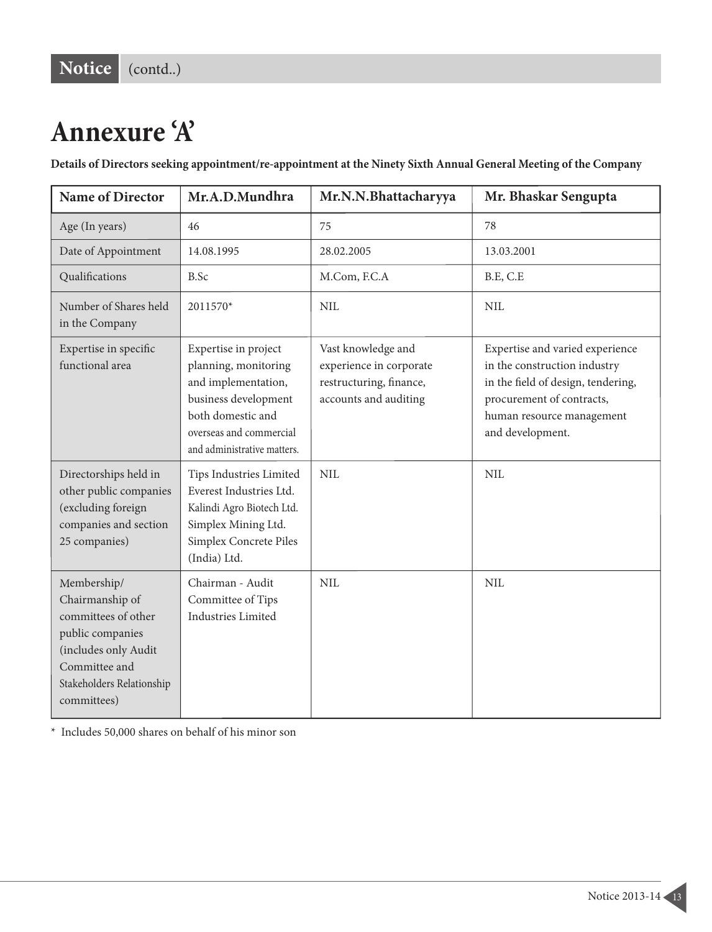## **Annexure 'A'**

Details of Directors seeking appointment/re-appointment at the Ninety Sixth Annual General Meeting of the Company

| <b>Name of Director</b>                                                                                                                                        | Mr.A.D.Mundhra                                                                                                                                                             | Mr.N.N.Bhattacharyya                                                                              | Mr. Bhaskar Sengupta                                                                                                                                                                |  |  |  |  |  |  |  |
|----------------------------------------------------------------------------------------------------------------------------------------------------------------|----------------------------------------------------------------------------------------------------------------------------------------------------------------------------|---------------------------------------------------------------------------------------------------|-------------------------------------------------------------------------------------------------------------------------------------------------------------------------------------|--|--|--|--|--|--|--|
| Age (In years)                                                                                                                                                 | 46                                                                                                                                                                         | 75                                                                                                | 78                                                                                                                                                                                  |  |  |  |  |  |  |  |
| Date of Appointment                                                                                                                                            | 14.08.1995                                                                                                                                                                 | 28.02.2005                                                                                        | 13.03.2001                                                                                                                                                                          |  |  |  |  |  |  |  |
| Qualifications                                                                                                                                                 | B.Sc                                                                                                                                                                       | M.Com, F.C.A                                                                                      | B.E, C.E                                                                                                                                                                            |  |  |  |  |  |  |  |
| Number of Shares held<br>in the Company                                                                                                                        | 2011570*                                                                                                                                                                   | <b>NIL</b>                                                                                        | <b>NIL</b>                                                                                                                                                                          |  |  |  |  |  |  |  |
| Expertise in specific<br>functional area                                                                                                                       | Expertise in project<br>planning, monitoring<br>and implementation,<br>business development<br>both domestic and<br>overseas and commercial<br>and administrative matters. | Vast knowledge and<br>experience in corporate<br>restructuring, finance,<br>accounts and auditing | Expertise and varied experience<br>in the construction industry<br>in the field of design, tendering,<br>procurement of contracts,<br>human resource management<br>and development. |  |  |  |  |  |  |  |
| Directorships held in<br>other public companies<br>(excluding foreign<br>companies and section<br>25 companies)                                                | Tips Industries Limited<br>Everest Industries Ltd.<br>Kalindi Agro Biotech Ltd.<br>Simplex Mining Ltd.<br>Simplex Concrete Piles<br>(India) Ltd.                           | <b>NIL</b>                                                                                        | <b>NIL</b>                                                                                                                                                                          |  |  |  |  |  |  |  |
| Membership/<br>Chairmanship of<br>committees of other<br>public companies<br>(includes only Audit<br>Committee and<br>Stakeholders Relationship<br>committees) | Chairman - Audit<br>Committee of Tips<br>Industries Limited                                                                                                                | <b>NIL</b>                                                                                        | <b>NIL</b>                                                                                                                                                                          |  |  |  |  |  |  |  |

\* Includes 50,000 shares on behalf of his minor son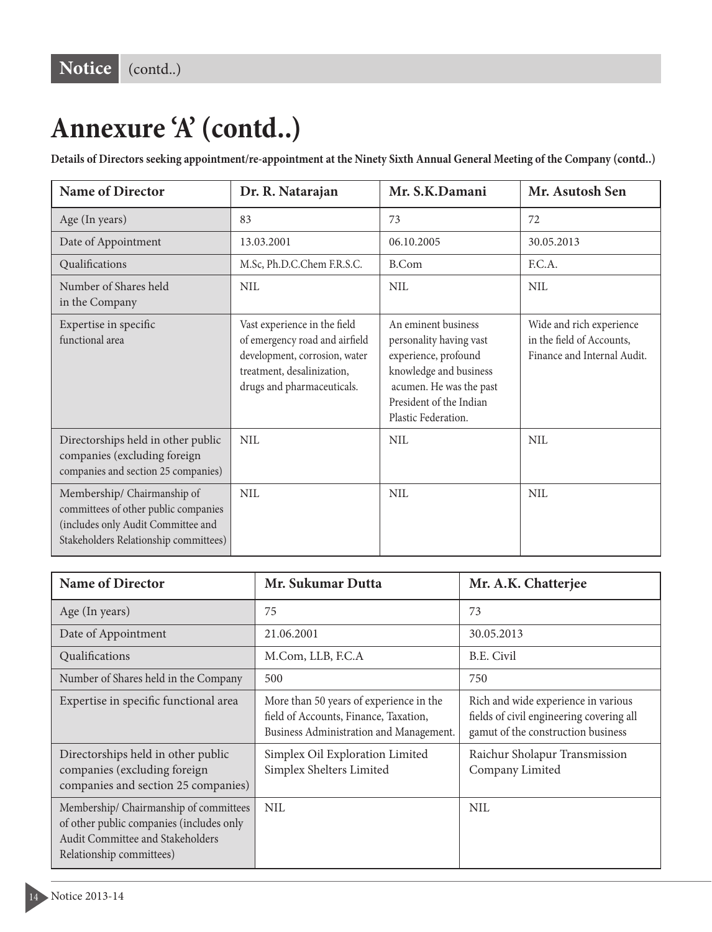## **Annexure 'A' (contd..)**

Details of Directors seeking appointment/re-appointment at the Ninety Sixth Annual General Meeting of the Company (contd..)

| <b>Name of Director</b>                                                                                                                            | Dr. R. Natarajan                                                                                                                                            | Mr. S.K.Damani                                                                                                                                                                | Mr. Asutosh Sen                                                                      |  |  |  |  |  |  |
|----------------------------------------------------------------------------------------------------------------------------------------------------|-------------------------------------------------------------------------------------------------------------------------------------------------------------|-------------------------------------------------------------------------------------------------------------------------------------------------------------------------------|--------------------------------------------------------------------------------------|--|--|--|--|--|--|
| Age (In years)                                                                                                                                     | 83                                                                                                                                                          | 73                                                                                                                                                                            | 72                                                                                   |  |  |  |  |  |  |
| Date of Appointment                                                                                                                                | 13.03.2001                                                                                                                                                  | 06.10.2005                                                                                                                                                                    | 30.05.2013                                                                           |  |  |  |  |  |  |
| Qualifications                                                                                                                                     | M.Sc, Ph.D.C.Chem F.R.S.C.                                                                                                                                  | B.Com                                                                                                                                                                         | E.C.A.                                                                               |  |  |  |  |  |  |
| Number of Shares held<br>in the Company                                                                                                            | NIL                                                                                                                                                         | NIL                                                                                                                                                                           | NIL                                                                                  |  |  |  |  |  |  |
| Expertise in specific<br>functional area                                                                                                           | Vast experience in the field<br>of emergency road and airfield<br>development, corrosion, water<br>treatment, desalinization,<br>drugs and pharmaceuticals. | An eminent business<br>personality having vast<br>experience, profound<br>knowledge and business<br>acumen. He was the past<br>President of the Indian<br>Plastic Federation. | Wide and rich experience<br>in the field of Accounts,<br>Finance and Internal Audit. |  |  |  |  |  |  |
| Directorships held in other public<br>companies (excluding foreign<br>companies and section 25 companies)                                          | <b>NIL</b>                                                                                                                                                  | NIL                                                                                                                                                                           | NIL                                                                                  |  |  |  |  |  |  |
| Membership/ Chairmanship of<br>committees of other public companies<br>(includes only Audit Committee and<br>Stakeholders Relationship committees) | NIL                                                                                                                                                         | NIL                                                                                                                                                                           | NIL                                                                                  |  |  |  |  |  |  |

| <b>Name of Director</b>                                                                                                                            | Mr. Sukumar Dutta                                                                                                           | Mr. A.K. Chatterjee                                                                                                   |  |  |  |  |  |  |  |
|----------------------------------------------------------------------------------------------------------------------------------------------------|-----------------------------------------------------------------------------------------------------------------------------|-----------------------------------------------------------------------------------------------------------------------|--|--|--|--|--|--|--|
| Age (In years)                                                                                                                                     | 75                                                                                                                          | 73                                                                                                                    |  |  |  |  |  |  |  |
| Date of Appointment                                                                                                                                | 21.06.2001                                                                                                                  | 30.05.2013                                                                                                            |  |  |  |  |  |  |  |
| Qualifications                                                                                                                                     | M.Com, LLB, F.C.A                                                                                                           | B.E. Civil                                                                                                            |  |  |  |  |  |  |  |
| Number of Shares held in the Company                                                                                                               | 500                                                                                                                         | 750                                                                                                                   |  |  |  |  |  |  |  |
| Expertise in specific functional area                                                                                                              | More than 50 years of experience in the<br>field of Accounts, Finance, Taxation,<br>Business Administration and Management. | Rich and wide experience in various<br>fields of civil engineering covering all<br>gamut of the construction business |  |  |  |  |  |  |  |
| Directorships held in other public<br>companies (excluding foreign<br>companies and section 25 companies)                                          | Simplex Oil Exploration Limited<br>Simplex Shelters Limited                                                                 | Raichur Sholapur Transmission<br>Company Limited                                                                      |  |  |  |  |  |  |  |
| Membership/ Chairmanship of committees<br>of other public companies (includes only<br>Audit Committee and Stakeholders<br>Relationship committees) | <b>NIL</b>                                                                                                                  | <b>NIL</b>                                                                                                            |  |  |  |  |  |  |  |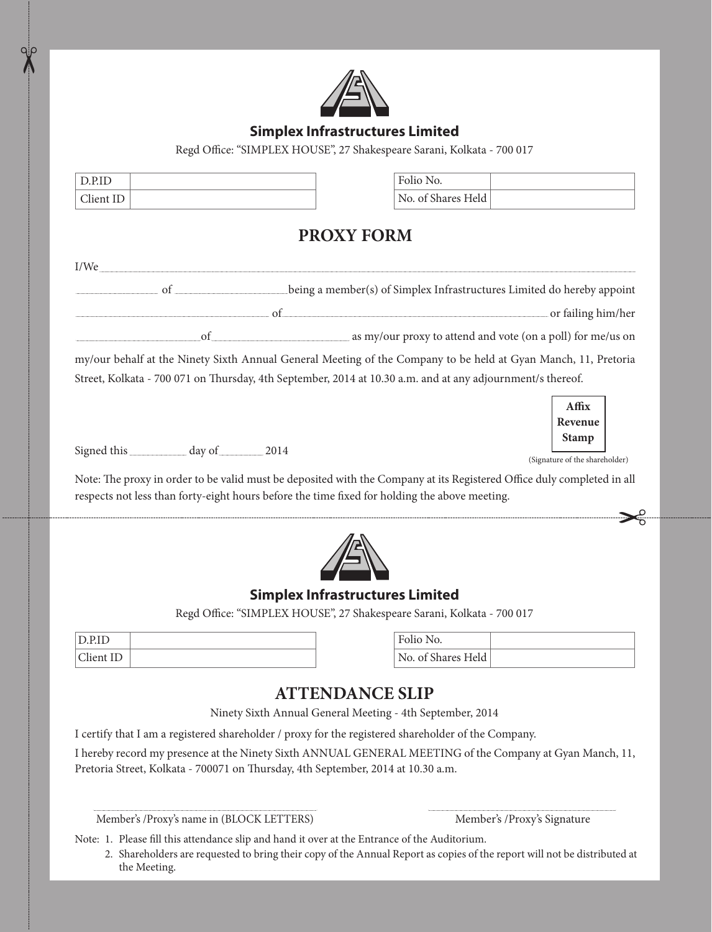

#### **Simplex Infrastructures Limited**

Regd Office: "SIMPLEX HOUSE", 27 Shakespeare Sarani, Kolkata - 700 017

| D.P.ID                                      | Folio No.                                                                                                                                                |
|---------------------------------------------|----------------------------------------------------------------------------------------------------------------------------------------------------------|
| Client ID                                   | No. of Shares Held                                                                                                                                       |
|                                             | <b>PROXY FORM</b>                                                                                                                                        |
| I/We                                        |                                                                                                                                                          |
|                                             | of ____________________________being a member(s) of Simplex Infrastructures Limited do hereby appoint                                                    |
|                                             | of<br>or failing him/her                                                                                                                                 |
| of                                          | as my/our proxy to attend and vote (on a poll) for me/us on                                                                                              |
|                                             | my/our behalf at the Ninety Sixth Annual General Meeting of the Company to be held at Gyan Manch, 11, Pretoria                                           |
|                                             | Street, Kolkata - 700 071 on Thursday, 4th September, 2014 at 10.30 a.m. and at any adjournment/s thereof.                                               |
|                                             | Affix                                                                                                                                                    |
|                                             | Revenue                                                                                                                                                  |
| Signed this __________ day of ________ 2014 | <b>Stamp</b>                                                                                                                                             |
|                                             | (Signature of the shareholder)<br>Note: The proxy in order to be valid must be deposited with the Company at its Registered Office duly completed in all |
|                                             | respects not less than forty-eight hours before the time fixed for holding the above meeting.                                                            |
|                                             |                                                                                                                                                          |
|                                             |                                                                                                                                                          |
|                                             | <b>Simplex Infrastructures Limited</b>                                                                                                                   |
|                                             | Regd Office: "SIMPLEX HOUSE", 27 Shakespeare Sarani, Kolkata - 700 017                                                                                   |

| $\lim_{n \to \infty} \prod_{n=1}^{n}$<br> |  |
|-------------------------------------------|--|

 $\chi$ 

| Folio No.          |  |
|--------------------|--|
| No. of Shares Held |  |

## **ATTENDANCE SLIP**

Ninety Sixth Annual General Meeting - 4th September, 2014

I certify that I am a registered shareholder / proxy for the registered shareholder of the Company.

I hereby record my presence at the Ninety Sixth ANNUAL GENERAL MEETING of the Company at Gyan Manch, 11, Pretoria Street, Kolkata - 700071 on Thursday, 4th September, 2014 at 10.30 a.m.

Member's /Proxy's name in (BLOCK LETTERS) Member's /Proxy's Signature

Note: 1. Please fill this attendance slip and hand it over at the Entrance of the Auditorium.

2.Shareholders are requested to bring their copy of the Annual Report as copies of the report will not be distributed at the Meeting.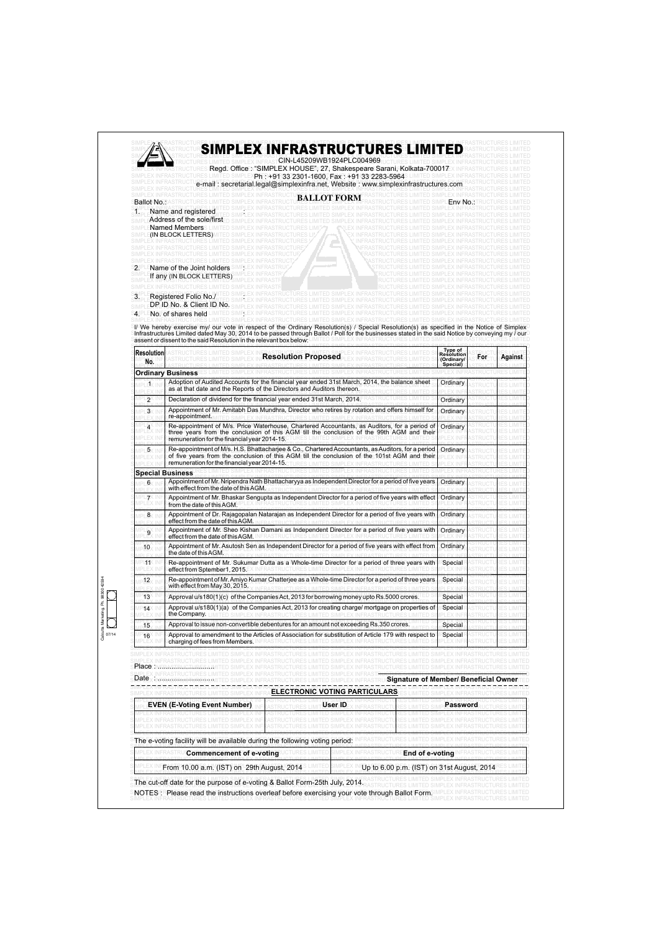| A |  |  |  |  |                           |  |  | SIMPLEX INFRASTRUCTURES LIMITED |  |  |
|---|--|--|--|--|---------------------------|--|--|---------------------------------|--|--|
|   |  |  |  |  |                           |  |  |                                 |  |  |
|   |  |  |  |  | CIN-L45209WB1924PLC004969 |  |  |                                 |  |  |
|   |  |  |  |  |                           |  |  |                                 |  |  |

SIMPLEX INFRASTRUCTURES LIMITED SIMPLEX INFRASTRUCTURE 22 DOMED 924 FLOWD4909 RUCTURES LIMITED SIMPLEX INFRASTRUCTURES LIMITED

SIMPLEX INFRASTRUCTURES **Regd. Office : "SIMPLEX HOUSE", 27, Shakespeare Sarani, Kolkata-700017**EX INFRASTRUCTURES LIMITED SIMPLEX INFRASTRUCTURES LIMITED SIMPLEX**Ph : +91 33 2301-1600, Fax : +91 33 2283-5964**3 LIMITED SIMPLEX INFRASTRUCTURES LIMITED

SIMPLEX INFRASTRUCTU**re-mail : secretarial.legal@simplexinfra.net, Website : www.simplexinfrastructures.com**\_BASTRUCTURES LIMITED<br>SIMPLEY INFRASTRUCTU**RES LIMITED** SIMPLEX INFRASTRUCTURES LIMITED SIMPLEX INFRASTRUCTURES LIMITED SIMPLEX INFRASTRUCTURES LIMITED SIMPLEX INFRASTRUCTURES LIMITED

**BALLOT FORM** RASTRUCTURES LIMITED SIMPLEX INFRASTRUCTURES LIMITED SIMPLEX INFRASTRUCTU**REALLOT FORM** FRASTRUCTURES LIMITED SIMPLEX INFRASTRUCTURES LIMITED **SIMPLEX INFRASTRUCTURES LIMITED** SIMPLEX INFRASTRUCTURES LIMITED SIMPLEX INFRASTRUCTURES LIMITED SIMPLEX INFRASTRUCTURES LIMITED SIMPLEX INFRASTRUCTURES LIMITED SIMPLEX Rame and registered The SIMPLEX INFRASTRUCTURES LIMITED SIMPLEX INFRASTRUCTURES LIMITED SIMPLEX INFRASTRUCTURES LIMITED SIMPLE**Address of the sole/first**\_p simplex infrastructures limited simplex infrastructures limited simplex infrastructures limited SIMPLE**Named Members** LIMITED SIMPLEX INFRASTRUCTURES LIMIT. IN THE SILIFRASTRUCTURES LIMITED SIMPLEX INFRASTRUCTURES LIMITED SIMPLE**(IN BLOCK LETTERS)** MITED SIMPLEX INFRASTRUCTURES LIMITED AT NEX INFRASTRUCTURES LIMITED SIMPLEX INFRASTRUCTURES LIMITED SIMPLEX INFRASTRUCTURES LIMITED SIMPLEX INFRASTRUCTURES LIMITED SIMPLEX INFRASTRUCTURES LIMITED SIMPLEX INFRASTRUCTURES LIM<br>SIMPLEX INFRASTRUCTURES LIMITED SIMPLEX INFRASTRUCTURE TURES LIMITED SIMPLEX INFRASTRUCTURES LIMITED SIMPLEX INFRASTRUCTURES LIMITED SIMPLEX INFRASTRUCTURES LIMITED S SIMPLEX INFRASTRUCTURES LIMITED SIMPLEX INFRASTRUCTURES LIMITED SIMPLEX INFRASTRUCTURES LIMITED SIMPLEX INFRASTRUCTURES LIM<br>SIMPLEX INFRASTRUCTURES LIMITED SIMPLEX INFRASTRUCTURES LIMITED SIMPLEX INFRASTRUCTURES LIM SIMPLEX INFRASTRUCTURES LIMITED SIMPLEX INFRASTRUCTURES LIMITED SIMPLEX INFRASTRUCTURES LIMITED SIMPLEX INFRASTRUCTURES LIMITED S2. PLEName of the Joint holders SIMPLEX INFRASTRUCTURES LIMITED SIMPLEX INFRASTRUCTURES LIMITED SIMPLE**If any (IN BLOCK LETTERS)** MPLEX INFRASTRUCTURES LIMITED SIMPLEX INFRASTRUCTURES LIMITED SIMPLEX INFRASTRUCTURES LIMITED SIMPLEX INFRASTRUCTURES LIMITED SIMPLEX INFRASTRUCTURES LIMITED SIMPLEX INFRASTRUCTURES LIMITED SIMPLEX INFRASTRUCTURES LIMITED SIMPLEX INFRASTRUCTURES LIMITED SIMPLEX INFRASTRUCTURES LIMITED SIMPLEX INFRASTRUCTURES LIMITED SIMPLEX INFRASTRUCTURES LIMITED S. Registered Folio No./ Industructures limited simplex infrastructures limited simplex infrastructures in the simplex infrastructures limited simplex in the structures limited simplex in the structures limited simplex inf SIMPLEX INFRASTRUCTURES LIMITED SIMPLEX INFRASTRUCTURES LIMITED SIMPLEX INFRASTRUCTURES LIMITED SIMPLEX INFRASTRUCTURES LIMITED SIMPLE**RRIDADO & Client ID No.** SIMPLEX INFRASTRUCTURES LIMITED SIMPLEX INFRASTRUCTURES LIMITED SIMPLEX INFRASTRUCTURES LIMITED **Ballot No.**: ASTRUG

SAIPLE**No. Fof shares held** LIMITED SIMPLEX INFRASTRUCTURES LIMITED SIMPLEX INFRASTRUCTURES LIMITED SIMPLEX INFRASTRUCTURES LIMITED

ା/ We hereby exercise my/ our vote in respect of the Ordinary Resolution(s) / Special Resolution(s) as specified in the Notice of Simplex  $\,$  Infrastructures Limited dated May 30, 2014 to be passed through Ballot / Poll for the businesses stated in the said Notice by conveying my / our $\,$  $\mathsf{\small{S}}$ assent or dissent to the said Resolution in the relevant box below: UMITED SIMPLEX INFRASTRUCTURES LIMITED SIMPLEX INFRASTRUCTURES LIMITED

SIMPLEX INFRASTRUCTURES LIMITED SIMPLEX INFRASTRUCTURES LIMITED SIMPLEX INFRASTRUCTURES LIMITED SIMPLEX INFRASTRUCTURES LIMITED

| <b>Resolution</b><br>No.                                      | <b>Resolution Proposed</b>                                                                                                                                                                                                                        | Type of<br><b>Resolution</b><br>(Ordinary/<br>Special) | For | <b>Against</b> |
|---------------------------------------------------------------|---------------------------------------------------------------------------------------------------------------------------------------------------------------------------------------------------------------------------------------------------|--------------------------------------------------------|-----|----------------|
|                                                               | <b>Ordinary Business</b>                                                                                                                                                                                                                          |                                                        |     |                |
| ЕV                                                            | Adoption of Audited Accounts for the financial year ended 31st March, 2014, the balance sheet<br>as at that date and the Reports of the Directors and Auditors thereon.                                                                           | Ordinary                                               |     |                |
| 9X                                                            | Declaration of dividend for the financial year ended 31st March, 2014.                                                                                                                                                                            | Ordinary                                               |     |                |
| PLBX                                                          | Appointment of Mr. Amitabh Das Mundhra, Director who retires by rotation and offers himself for<br>re-appointment.                                                                                                                                | Ordinary                                               |     |                |
|                                                               | Re-appointment of M/s. Price Waterhouse, Chartered Accountants, as Auditors, for a period of<br>three years from the conclusion of this AGM till the conclusion of the 99th AGM and their<br>remuneration for the financial year 2014-15.         | Ordinary                                               |     |                |
| 5                                                             | Re-appointment of M/s. H.S. Bhattacharjee & Co., Chartered Accountants, as Auditors, for a period<br>of five years from the conclusion of this AGM till the conclusion of the 101st AGM and their<br>remuneration for the financial year 2014-15. | Ordinary                                               |     |                |
| <b>Special Business</b>                                       |                                                                                                                                                                                                                                                   |                                                        |     |                |
| 6                                                             | Appointment of Mr. Nripendra Nath Bhattacharyya as Independent Director for a period of five years<br>with effect from the date of this AGM.                                                                                                      | Ordinary                                               |     |                |
|                                                               | Appointment of Mr. Bhaskar Sengupta as Independent Director for a period of five years with effect<br>from the date of this AGM.                                                                                                                  | Ordinary                                               |     |                |
| 8                                                             | Appointment of Dr. Rajagopalan Natarajan as Independent Director for a period of five years with<br>effect from the date of this AGM.                                                                                                             | Ordinary                                               |     |                |
| $\overset{\text{P}}{\text{--}\,}\overset{\text{P}}{\text{9}}$ | Appointment of Mr. Sheo Kishan Damani as Independent Director for a period of five years with<br>effect from the date of this AGM.                                                                                                                | Ordinary                                               |     |                |
| 10                                                            | Appointment of Mr. Asutosh Sen as Independent Director for a period of five years with effect from<br>the date of this AGM                                                                                                                        | Ordinary                                               |     |                |
| PL11X                                                         | Re-appointment of Mr. Sukumar Dutta as a Whole-time Director for a period of three years with<br>effect from Sptember1, 2015.                                                                                                                     | Special                                                |     |                |
| ∍12∖                                                          | Re-appointment of Mr. Amiyo Kumar Chatteriee as a Whole-time Director for a period of three years<br>with effect from May 30, 2015.                                                                                                               | Special                                                |     |                |
| 13                                                            | Approval u/s180(1)(c) of the Companies Act, 2013 for borrowing money upto Rs.5000 crores.                                                                                                                                                         | Special                                                |     |                |
| 14 <sup>2</sup>                                               | Approval u/s180(1)(a) of the Companies Act, 2013 for creating charge/ mortgage on properties of<br>the Company.                                                                                                                                   | Special                                                |     |                |
| 15                                                            | Approval to issue non-convertible debentures for an amount not exceeding Rs.350 crores.                                                                                                                                                           | Special                                                |     |                |
| 16                                                            | Approval to amendment to the Articles of Association for substitution of Article 179 with respect to<br>charging of fees from Members.                                                                                                            | Special                                                |     |                |

| 1250      |      |
|-----------|------|
| ag300     |      |
| á         |      |
| ĕ<br>ŧ    |      |
| arka<br>ž |      |
|           |      |
| ā         | 7/14 |
|           |      |

|              |  |  |  |  |  |  |  |  |  |  | <u>UINE EEA INFRAUNUU MEU EIMITED UINE EEA INFRAUNUU NU EIMITED UINE EEA INFRAUNUU AU EIMITED UINE EEA INFRAUNUU UNEU EIMITED</u>                                                                                                                                         |  |  |  |  |  |  |  |  |  |                                                                                                                                  |
|--------------|--|--|--|--|--|--|--|--|--|--|---------------------------------------------------------------------------------------------------------------------------------------------------------------------------------------------------------------------------------------------------------------------------|--|--|--|--|--|--|--|--|--|----------------------------------------------------------------------------------------------------------------------------------|
|              |  |  |  |  |  |  |  |  |  |  | KIMDER IMFRYKTRITCI I IREKTIMLED KIMPLEY IMERAKTRITCI IRREKTIMLED KIMPLEY IMERAKTRITCI I IREKTIMLED KIMPLEY IMERAKTRITCI I IREKTIMLE<br><u>UINE EEA INFRAUNUU MEU EIMITED UINE EEA INFRAUNUU NU EIMITED UINE EEA INFRAUNUU AU EIMITED UINE EEA INFRAUNUU UNEU EIMITED</u> |  |  |  |  |  |  |  |  |  | AUTO EVIDENTAROLARINEA LUTREN AUTO EVIDENTAROLARINEA LUTREN AUTO EVIDENTAROLARINEA LUTREN AUTO EVIDENTAROLARINEA LUTREN          |
|              |  |  |  |  |  |  |  |  |  |  | CIMPLEY IMERACTELLER FINITED CIMPLEY IMERACTELL'ITTECT IMITED CIMPLEY IMERACTELL'ITTECT IMITED CIMPLEY IMERACTELLIPECT IMIT<br><u>UINE EEA INFRAUNUU MEU EIMITED UINE EEA INFRAUNUU VULUU EIMITED UINE EEA INFRAUNUU VULUU EIMITED UINE EEA INFRAUNUU UNEU EIMITED</u>    |  |  |  |  |  |  |  |  |  | AUTO EVIDENTARO DEA LUTRA AURIA AUTO EVIDENTARO DEA LUTRA AUTO EVIDENTARO DE A GERMANIA DI URBA AUTO EN INFATIARUMEA LUTRA LUTRA |
| تنتموها البر |  |  |  |  |  |  |  |  |  |  |                                                                                                                                                                                                                                                                           |  |  |  |  |  |  |  |  |  |                                                                                                                                  |

SI<mark>RIACE</mark> INFRASTRUCTURES LIMITED SIMPLEX INFRASTRUCTURES LIMITED SIMPLEX INFRASTRUCTURES LIMITED SIMPLEX INFRASTRUCTURES LIMITED SIMPLEX INFRASTRUCTURES LIMITED SIMPLEX INFRASTRUCTURES LIMITED SIMPLEX INFRASTR<del>UCTURES LIMITED SIMPLEX INFRASTRUCTURES LIMITE</del>D<br>S**Date** x infrastructures himited simplex infrastructures limited simplex infrastrui**Signatu** S**MALE**X INFRASTRUCTURES LIMITED SIMPLEX INFRASTRUCTURES LIMITED SIMPLEX INFRASTRU**(Signature of Member/ Beneficial Owner** TED

|                                                                             | <b>ELECTRONIC VOTING PARTICULARS</b>       |  |  |  |  |  |  |  |  |  |
|-----------------------------------------------------------------------------|--------------------------------------------|--|--|--|--|--|--|--|--|--|
| <b>EVEN (E-Voting Event Number)</b>                                         | User ID<br>Password                        |  |  |  |  |  |  |  |  |  |
|                                                                             |                                            |  |  |  |  |  |  |  |  |  |
| The e-voting facility will be available during the following voting period: |                                            |  |  |  |  |  |  |  |  |  |
| <b>Commencement of e-voting</b>                                             | End of e-voting                            |  |  |  |  |  |  |  |  |  |
| From 10.00 a.m. (IST) on 29th August, 2014                                  | Up to 6.00 p.m. (IST) on 31st August, 2014 |  |  |  |  |  |  |  |  |  |

SIMPLEX INFRASTRUCTURES LIMITED SIMPLEX INFRASTRUCTURES LIMITED SIMPLEX INFRASTRUCTURES LIMITED SIMPLEX INFRASTRUCTURES LIMITED SThe cut-off date for the purpose of e-voting & Ballot Form-25th July, 2014. RASTRUCTURES LIMITED SIMPLEX INFRASTRUCTURES LIMITED SNOTES : Please read the instructions overleaf before exercising your vote through Ballot FormSIMPLEX INFRASTRUCTURES LIMITED S**NOTES** IR**Please read the instructions overleaf before exercising your vote through Ballot Form**SIMPLEX INFRASTRUCTURES LIMITED<br>SIMPLEX INFRASTRUCTURES LIMITED SIMPLEX INFRASTRUCTURES LIMITED SIMPLEX INFRASTRUCTURES LIMI